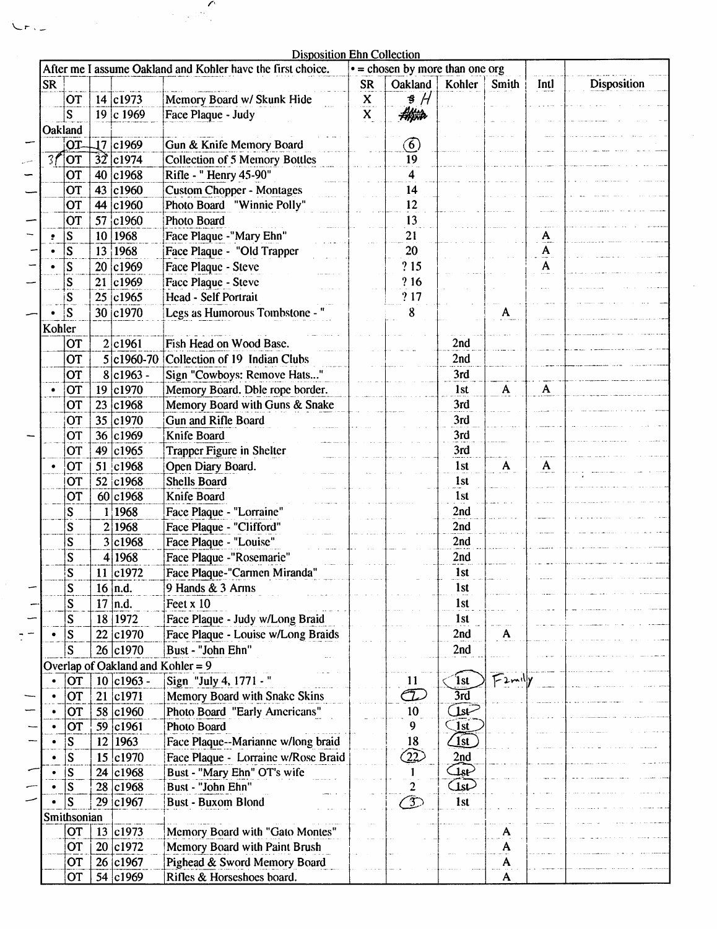$\overline{r}$ 

|                                                                                                        | Disposition Ehn Collection |                         |    |                                   |                                       |                          |               |                         |              |              |             |
|--------------------------------------------------------------------------------------------------------|----------------------------|-------------------------|----|-----------------------------------|---------------------------------------|--------------------------|---------------|-------------------------|--------------|--------------|-------------|
| $\bullet$ = chosen by more than one org<br>After me I assume Oakland and Kohler have the first choice. |                            |                         |    |                                   |                                       |                          |               |                         |              |              |             |
|                                                                                                        | <b>SR</b>                  |                         |    |                                   |                                       | <b>SR</b>                | Oakland       | Kohler                  | Smith        | Intl         | Disposition |
|                                                                                                        |                            | OT                      |    | 14 c1973                          | Memory Board w/ Skunk Hide            |                          | $\frac{3}{4}$ |                         |              |              |             |
|                                                                                                        |                            |                         |    |                                   |                                       | $\underline{\mathbf{X}}$ |               |                         |              |              |             |
|                                                                                                        |                            | S                       |    | 19 c 1969                         | Face Plaque - Judy                    | X                        | Hijita        |                         |              |              |             |
|                                                                                                        | Oakland                    |                         |    |                                   |                                       |                          |               |                         |              |              |             |
|                                                                                                        |                            | OT-                     |    | 17 c1969                          | Gun & Knife Memory Board              |                          | $\circled{6}$ |                         |              |              |             |
|                                                                                                        | 3f                         | OT)                     |    | $32$ c1974                        | <b>Collection of 5 Memory Bottles</b> |                          | 19            |                         |              |              |             |
|                                                                                                        |                            | OT                      |    | 40 c1968                          | Rifle - " Henry 45-90"                |                          | 4             |                         |              |              |             |
|                                                                                                        |                            |                         |    |                                   |                                       |                          |               |                         |              |              |             |
|                                                                                                        |                            | OT                      |    | 43 c1960                          | <b>Custom Chopper - Montages</b>      |                          | 14            |                         |              |              |             |
|                                                                                                        |                            | OT                      |    | 44 c1960                          | Photo Board "Winnie Polly"            |                          | 12            |                         |              |              |             |
|                                                                                                        |                            | <b>OT</b>               |    | 57 c1960                          | Photo Board                           |                          | 13            |                         |              |              |             |
|                                                                                                        |                            | S                       |    | 10 1968                           | Face Plaque -"Mary Ehn"               |                          | 21            |                         |              | A            |             |
|                                                                                                        |                            | $\overline{s}$          |    | 13 1968                           | Face Plaque - "Old Trapper            |                          | 20            |                         |              | A            |             |
|                                                                                                        |                            |                         |    | 20 c1969                          | Face Plaque - Steve                   |                          | ?15           |                         |              | $\mathbf{A}$ |             |
|                                                                                                        |                            | $\overline{\mathbf{S}}$ |    |                                   |                                       |                          |               |                         |              |              |             |
|                                                                                                        |                            | $\sum_{i=1}^{n}$        |    | 21 c1969                          | Face Plaque - Steve                   |                          | ? 16          |                         |              |              |             |
|                                                                                                        |                            | S                       |    | 25 c1965                          | Head - Self Portrait                  |                          | ?17           |                         |              |              |             |
|                                                                                                        |                            | S                       |    | 30 c1970                          | Legs as Humorous Tombstone -          |                          | 8             |                         | A            |              |             |
|                                                                                                        | Kohler                     |                         |    |                                   |                                       |                          |               |                         |              |              |             |
|                                                                                                        |                            | OT                      |    | 2 c1961                           | Fish Head on Wood Base.               |                          |               | 2nd                     |              |              |             |
|                                                                                                        |                            |                         |    |                                   |                                       |                          |               |                         |              |              |             |
|                                                                                                        |                            | <b>OT</b>               |    | $5 c1960-70$                      | Collection of 19 Indian Clubs         |                          |               | 2nd                     |              |              |             |
|                                                                                                        |                            | <b>OT</b>               |    | $8 c1963 -$                       | Sign "Cowboys: Remove Hats"           |                          |               | 3rd                     |              |              |             |
|                                                                                                        |                            | OT                      |    | 19 c1970                          | Memory Board. Dble rope border.       |                          |               | 1st                     | $\mathbf{A}$ | $\mathbf{A}$ |             |
|                                                                                                        |                            | OT                      |    | 23 c1968                          | Memory Board with Guns & Snake        |                          |               | 3rd                     |              |              |             |
|                                                                                                        |                            | OT                      |    | 35 c1970                          | Gun and Rifle Board                   |                          |               | 3rd                     |              |              |             |
|                                                                                                        |                            | OT                      |    | 36 c1969                          | Knife Board                           |                          |               | 3rd                     |              |              |             |
|                                                                                                        |                            |                         |    |                                   |                                       |                          |               |                         |              |              |             |
|                                                                                                        |                            | OT                      |    | 49 c1965                          | <b>Trapper Figure in Shelter</b>      |                          |               | 3rd                     |              |              |             |
|                                                                                                        |                            | <b>OT</b>               |    | 51 c1968                          | Open Diary Board.                     |                          |               | 1st                     | A            | A            |             |
|                                                                                                        |                            | OT                      |    | 52 c1968                          | <b>Shells Board</b>                   |                          |               | 1st                     |              |              |             |
|                                                                                                        |                            | OT                      |    | 60 c1968                          | Knife Board                           |                          |               | 1 <sub>st</sub>         |              |              |             |
|                                                                                                        |                            | S                       |    | 1 1968                            | Face Plaque - "Lorraine"              |                          |               | 2nd                     |              |              |             |
|                                                                                                        |                            |                         |    |                                   |                                       |                          |               |                         |              |              |             |
|                                                                                                        |                            | S                       |    | 2 1968                            | Face Plaque - "Clifford"              |                          |               | 2nd                     |              |              |             |
|                                                                                                        |                            | S                       |    | 3 c1968                           | Face Plaque - "Louise"                |                          |               | 2nd                     |              |              |             |
|                                                                                                        |                            | S                       |    | 4 1968                            | Face Plaque -"Rosemarie"              |                          |               | 2nd                     |              |              |             |
|                                                                                                        |                            | S                       |    | 11 c1972                          | Face Plaque-"Carmen Miranda"          |                          |               | 1st                     |              |              |             |
|                                                                                                        |                            | S                       |    | $16$  n.d.                        | 9 Hands & 3 Arms                      |                          |               | 1st                     |              |              |             |
|                                                                                                        |                            | S                       |    | $17$ n.d.                         | Feet x 10                             |                          |               | 1st                     |              |              |             |
|                                                                                                        |                            |                         |    |                                   |                                       |                          |               |                         |              |              |             |
|                                                                                                        |                            | S                       |    | 18 1972                           | Face Plaque - Judy w/Long Braid       |                          |               | 1st                     |              |              |             |
|                                                                                                        |                            | S                       |    | 22 c1970                          | Face Plaque - Louise w/Long Braids    |                          |               | 2nd                     | A            |              |             |
|                                                                                                        |                            | S                       |    | 26 c1970                          | Bust - "John Ehn"                     |                          |               | 2nd                     |              |              |             |
|                                                                                                        |                            |                         |    | Overlap of Oakland and Kohler = 9 |                                       |                          |               |                         |              |              |             |
|                                                                                                        |                            | OT                      |    | 10 c1963 -                        | Sign "July 4, 1771 - "                |                          | 11            | <sup>'</sup> lst        | $F$ 2mily    |              |             |
|                                                                                                        |                            |                         |    |                                   |                                       |                          |               |                         |              |              |             |
|                                                                                                        |                            | OT                      |    | 21 c1971                          | Memory Board with Snake Skins         |                          | T.            | $\overline{3rd}$        |              |              |             |
|                                                                                                        |                            | OT                      |    | 58 c1960                          | Photo Board "Early Americans"         |                          | 10            | ستلفل                   |              |              |             |
|                                                                                                        |                            | OT                      |    | 59 c1961                          | Photo Board                           |                          | 9             | $\overline{\text{1st}}$ |              |              |             |
|                                                                                                        |                            | S                       | 12 | 1963                              | Face Plaque--Marianne w/long braid    |                          | 18            | $\sqrt{1st}$            |              |              |             |
|                                                                                                        |                            | S                       |    | 15 c1970                          | Face Plaque - Lorraine w/Rose Braid   |                          | 22            | 2nd                     |              |              |             |
|                                                                                                        |                            |                         |    | 24 c1968                          |                                       |                          |               | لهيت                    |              |              |             |
|                                                                                                        |                            | S                       |    |                                   | Bust - "Mary Ehn" OT's wife           |                          |               |                         |              |              |             |
|                                                                                                        |                            | S                       |    | 28 c1968                          | Bust - "John Ehn"                     |                          | 2             | سما                     |              |              |             |
|                                                                                                        |                            | S                       |    | 29 c1967                          | <b>Bust - Buxom Blond</b>             |                          | $\mathcal{F}$ | 1st                     |              |              |             |
|                                                                                                        |                            | Smithsonian             |    |                                   |                                       |                          |               |                         |              |              |             |
|                                                                                                        |                            | <b>OT</b>               |    | 13   c1973                        | Memory Board with "Gato Montes"       |                          |               |                         | A            |              |             |
|                                                                                                        |                            | OT                      |    | 20 c1972                          | Memory Board with Paint Brush         |                          |               |                         | A            |              |             |
|                                                                                                        |                            | <b>OT</b>               |    | 26 c1967                          | Pighead & Sword Memory Board          |                          |               |                         | A            |              |             |
|                                                                                                        |                            |                         |    |                                   |                                       |                          |               |                         |              |              |             |
|                                                                                                        |                            | <b>OT</b>               |    | 54 c1969                          | Rifles & Horseshoes board.            |                          |               |                         |              |              |             |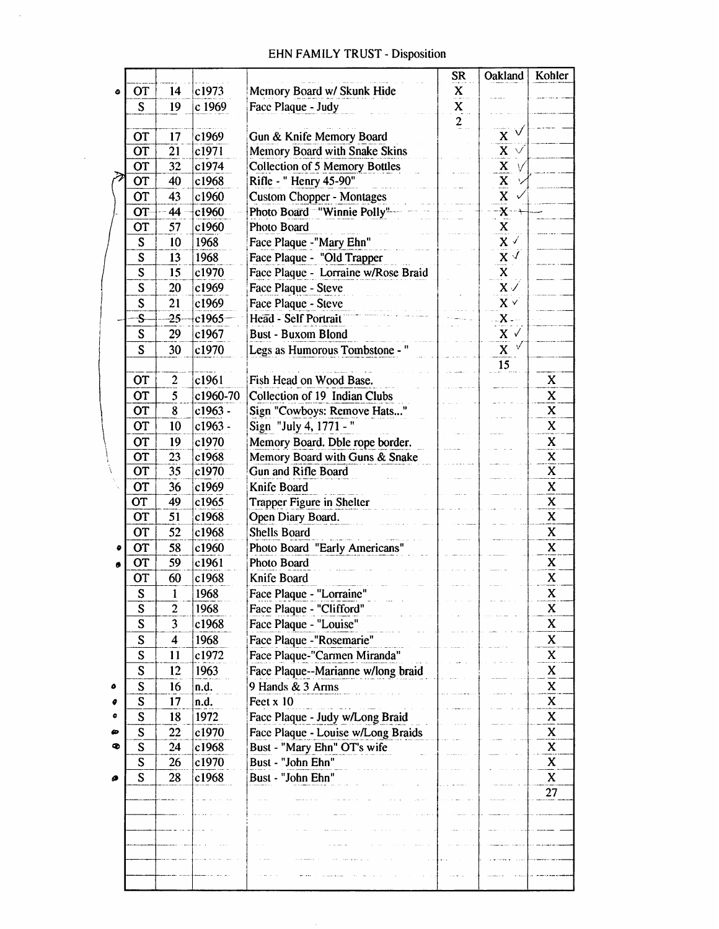## **EHN FAMILY TRUST - Disposition**

 $\sim$ 

 $\overline{\phantom{a}}$ 

|   |                         |                         |                |                                                                       | <b>SR</b>               | Oakland                              | Kohler                    |
|---|-------------------------|-------------------------|----------------|-----------------------------------------------------------------------|-------------------------|--------------------------------------|---------------------------|
| ۰ | OT                      | 14                      | c1973          | Memory Board w/ Skunk Hide                                            | X                       |                                      |                           |
|   | S                       | 19                      | c 1969         | Face Plaque - Judy                                                    | $\overline{\mathbf{x}}$ |                                      |                           |
|   |                         |                         |                |                                                                       | $\frac{2}{\pi}$         |                                      |                           |
|   | <b>OT</b>               | 17                      | c1969          | Gun & Knife Memory Board                                              |                         | ✓<br>$\mathbf x$                     |                           |
|   | $\overline{\text{OT}}$  | $\overline{21}$         | c1971          | Memory Board with Snake Skins                                         |                         | $\overline{\mathbf{x}}$<br>$\sqrt{}$ |                           |
|   | <b>OT</b>               | 32                      | c1974          | <b>Collection of 5 Memory Bottles</b>                                 |                         |                                      |                           |
|   | <b>OT</b>               | 40                      | c1968          | Rifle - " Henry 45-90"                                                |                         | $\frac{X}{X}$                        |                           |
|   | <b>OT</b>               | 43                      | c1960          | <b>Custom Chopper - Montages</b>                                      |                         |                                      |                           |
|   | OT                      | 44                      | c1960          | Photo Board "Winnie Polly"                                            |                         | $rac{X}{X}$                          |                           |
|   | <b>OT</b>               | 57                      | c1960          | Photo Board                                                           |                         |                                      |                           |
|   | S                       | 10                      | 1968           | Face Plaque -"Mary Ehn"                                               |                         | $\mathbf{x}$ $\checkmark$            |                           |
|   | $\mathbf S$             | 13                      | 1968           | Face Plaque - "Old Trapper                                            |                         | $\mathbf{X}\not\subset$              |                           |
|   | $\overline{\mathbf{S}}$ | 15                      | c1970          | Face Plaque - Lorraine w/Rose Braid                                   |                         | $\mathbf{x}$                         |                           |
|   | $\overline{\mathbf{S}}$ | 20                      | c1969          | Face Plaque - Steve                                                   |                         | $\mathbf{x}$ $\checkmark$            |                           |
|   | $\mathbf S$             | 21                      | c1969          | Face Plaque - Steve                                                   |                         | $X \vee$                             |                           |
|   | S                       | $-25-$                  | $c1965-$       | Head - Self Portrait                                                  |                         | $-X -$                               |                           |
|   | S                       | 29                      | c1967          | <b>Bust - Buxom Blond</b>                                             |                         | $X \checkmark$                       |                           |
|   | S                       | 30                      | c1970          | Legs as Humorous Tombstone -                                          |                         | $\mathbf X$                          |                           |
|   |                         |                         |                |                                                                       |                         | 15                                   |                           |
|   | OT                      | $\overline{\mathbf{c}}$ | c1961          | Fish Head on Wood Base.                                               |                         |                                      | X                         |
|   | OT                      | 5                       | c1960-70       | Collection of 19 Indian Clubs                                         |                         |                                      | X                         |
|   | <b>OT</b>               | 8                       | c1963 -        | Sign "Cowboys: Remove Hats"                                           |                         |                                      | $\mathbf x$               |
|   | OT                      | 10                      | c1963 -        | Sign "July 4, 1771 - "                                                |                         |                                      | X                         |
|   | <b>OT</b>               | 19                      | c1970          | Memory Board. Dble rope border.                                       |                         |                                      | $\mathbf X$               |
|   | OT                      | 23                      | c1968          | Memory Board with Guns & Snake                                        |                         |                                      | X                         |
|   | <b>OT</b>               | 35                      | c1970          | Gun and Rifle Board                                                   |                         |                                      | $\boldsymbol{\mathsf{X}}$ |
|   | OT                      | 36                      | c1969          | Knife Board                                                           |                         |                                      | X                         |
|   | <b>OT</b>               | 49                      | c1965          | <b>Trapper Figure in Shelter</b>                                      |                         |                                      | $\mathbf x$               |
|   | OT                      | 51                      | c1968          | Open Diary Board.                                                     |                         |                                      | $\mathbf x$               |
|   | <b>OT</b>               | 52                      | c1968          | <b>Shells Board</b>                                                   |                         |                                      | X                         |
| ۰ | OT                      | 58                      | c1960          | Photo Board "Early Americans"                                         |                         |                                      | $\mathbf x$               |
|   | <b>OT</b>               | 59                      | c1961          | Photo Board                                                           |                         |                                      | X                         |
|   | OT                      | 60                      | c1968          | Knife Board                                                           |                         |                                      | X                         |
|   | $\mathbf S$             | 1                       | 1968           | Face Plaque - "Lorraine"                                              |                         |                                      | $\overline{\mathbf{X}}$   |
|   | S                       | $\overline{c}$          | 1968           | Face Plaque - "Clifford"                                              |                         |                                      | X                         |
|   | S                       | 3                       | c1968          | Face Plaque - "Louise"                                                |                         |                                      | X                         |
|   | S                       | $\overline{\mathbf{4}}$ | 1968           | Face Plaque -"Rosemarie"                                              |                         |                                      | X                         |
|   | S                       | 11                      | c1972          | Face Plaque-"Carmen Miranda"                                          |                         |                                      | $\mathbf X$               |
|   | S                       | 12                      | 1963           | Face Plaque--Marianne w/long braid                                    |                         |                                      | X                         |
| ٥ | S                       | 16                      | n.d.           | 9 Hands & 3 Arms                                                      |                         |                                      | X<br>X                    |
| ٥ | $\mathbf S$<br>S        | 17                      | n.d.<br>1972   | Feet x 10                                                             |                         |                                      | X                         |
| œ | ${\bf S}$               | 18<br>22                |                | Face Plaque - Judy w/Long Braid<br>Face Plaque - Louise w/Long Braids |                         |                                      | X                         |
| Ф | S                       | 24                      | c1970<br>c1968 | Bust - "Mary Ehn" OT's wife                                           |                         |                                      | $\mathbf x$               |
|   | ${\bf S}$               | 26                      | c1970          | Bust - "John Ehn"                                                     |                         |                                      | X                         |
| ø | S                       | 28                      | c1968          | Bust - "John Ehn"                                                     |                         |                                      | X                         |
|   |                         |                         |                |                                                                       |                         |                                      | 27                        |
|   |                         |                         |                |                                                                       |                         |                                      |                           |
|   |                         |                         |                |                                                                       |                         |                                      |                           |
|   |                         |                         |                |                                                                       |                         |                                      |                           |
|   |                         |                         |                |                                                                       |                         |                                      |                           |
|   |                         |                         |                |                                                                       |                         |                                      |                           |
|   |                         |                         |                |                                                                       |                         |                                      |                           |